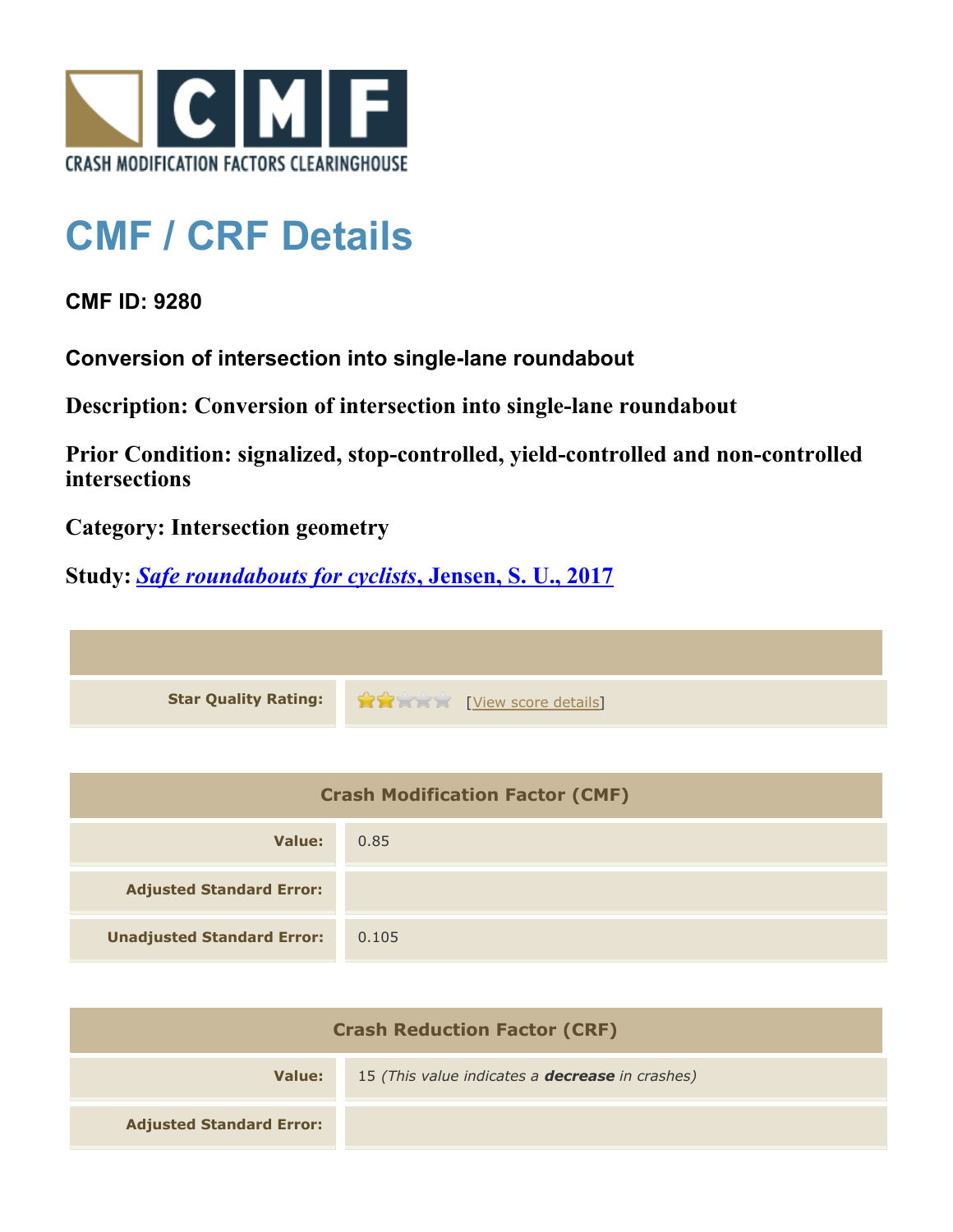

## **CMF / CRF Details**

**CMF ID: 9280**

**Conversion of intersection into single-lane roundabout**

**Description: Conversion of intersection into single-lane roundabout**

**Prior Condition: signalized, stop-controlled, yield-controlled and non-controlled intersections**

**Category: Intersection geometry**

**Study:** *[Safe roundabouts for cyclists](http://www.cmfclearinghouse.org/study_detail.cfm?stid=516)***[, Jensen, S. U., 2017](http://www.cmfclearinghouse.org/study_detail.cfm?stid=516)**

**Star Quality Rating:**  $\mathbf{\hat{x}}$  **and**  $\mathbf{\hat{y}}$  [[View score details](http://www.cmfclearinghouse.org/score_details.cfm?facid=9280)]

| <b>Crash Modification Factor (CMF)</b> |       |
|----------------------------------------|-------|
| Value:                                 | 0.85  |
| <b>Adjusted Standard Error:</b>        |       |
| <b>Unadjusted Standard Error:</b>      | 0.105 |

| <b>Crash Reduction Factor (CRF)</b> |                                                        |
|-------------------------------------|--------------------------------------------------------|
| Value:                              | 15 (This value indicates a <b>decrease</b> in crashes) |
| <b>Adjusted Standard Error:</b>     |                                                        |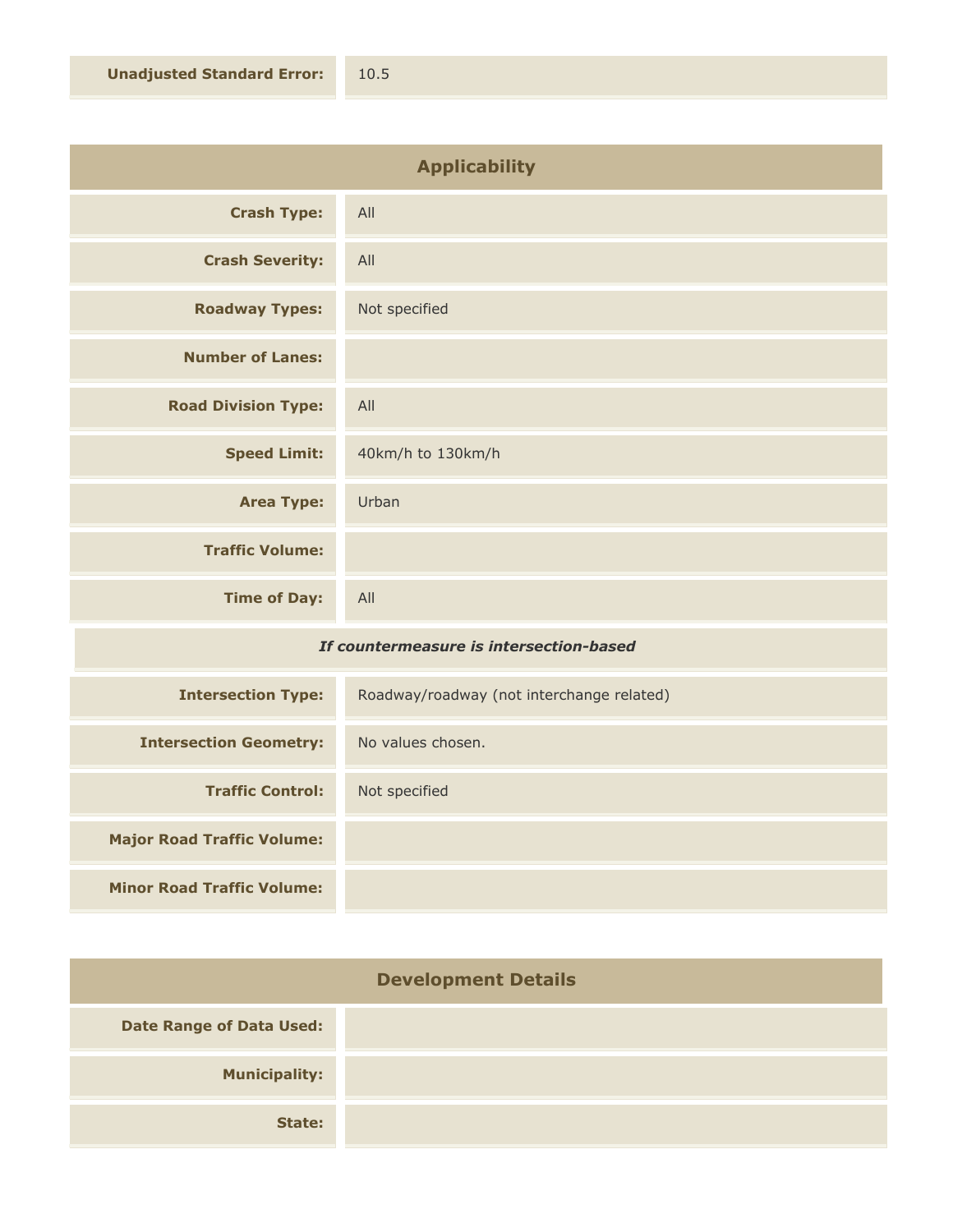| <b>Crash Type:</b><br>All<br><b>Crash Severity:</b><br>All<br><b>Roadway Types:</b><br>Not specified<br><b>Number of Lanes:</b><br><b>Road Division Type:</b><br>All<br><b>Speed Limit:</b><br>40km/h to 130km/h<br><b>Area Type:</b><br>Urban | <b>Applicability</b> |  |
|------------------------------------------------------------------------------------------------------------------------------------------------------------------------------------------------------------------------------------------------|----------------------|--|
|                                                                                                                                                                                                                                                |                      |  |
|                                                                                                                                                                                                                                                |                      |  |
|                                                                                                                                                                                                                                                |                      |  |
|                                                                                                                                                                                                                                                |                      |  |
|                                                                                                                                                                                                                                                |                      |  |
|                                                                                                                                                                                                                                                |                      |  |
|                                                                                                                                                                                                                                                |                      |  |
| <b>Traffic Volume:</b>                                                                                                                                                                                                                         |                      |  |
| <b>Time of Day:</b><br>All                                                                                                                                                                                                                     |                      |  |

## *If countermeasure is intersection-based*

| <b>Intersection Type:</b>         | Roadway/roadway (not interchange related) |
|-----------------------------------|-------------------------------------------|
| <b>Intersection Geometry:</b>     | No values chosen.                         |
| <b>Traffic Control:</b>           | Not specified                             |
| <b>Major Road Traffic Volume:</b> |                                           |
| <b>Minor Road Traffic Volume:</b> |                                           |

| <b>Development Details</b>      |  |
|---------------------------------|--|
| <b>Date Range of Data Used:</b> |  |
| <b>Municipality:</b>            |  |
| State:                          |  |